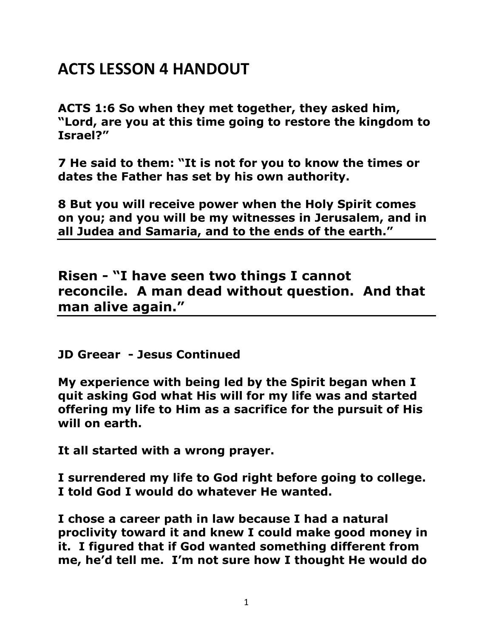## **ACTS LESSON 4 HANDOUT**

**ACTS 1:6 So when they met together, they asked him, "Lord, are you at this time going to restore the kingdom to Israel?"** 

**7 He said to them: "It is not for you to know the times or dates the Father has set by his own authority.** 

**8 But you will receive power when the Holy Spirit comes on you; and you will be my witnesses in Jerusalem, and in all Judea and Samaria, and to the ends of the earth."** 

**Risen - "I have seen two things I cannot reconcile. A man dead without question. And that man alive again."**

**JD Greear - Jesus Continued** 

**My experience with being led by the Spirit began when I quit asking God what His will for my life was and started offering my life to Him as a sacrifice for the pursuit of His will on earth.**

**It all started with a wrong prayer.**

**I surrendered my life to God right before going to college. I told God I would do whatever He wanted.**

**I chose a career path in law because I had a natural proclivity toward it and knew I could make good money in it. I figured that if God wanted something different from me, he'd tell me. I'm not sure how I thought He would do**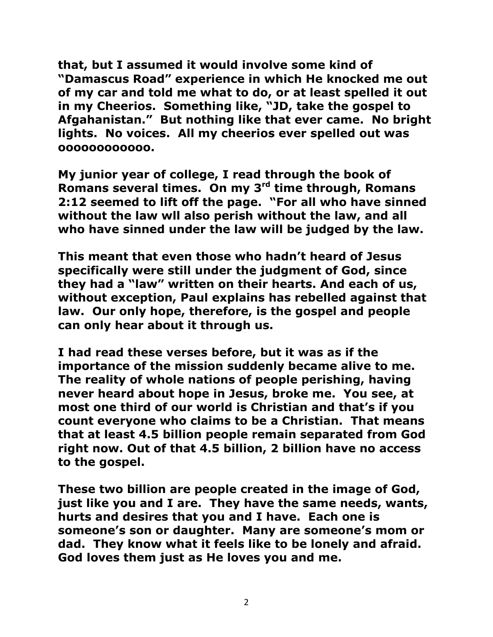**that, but I assumed it would involve some kind of "Damascus Road" experience in which He knocked me out of my car and told me what to do, or at least spelled it out in my Cheerios. Something like, "JD, take the gospel to Afgahanistan." But nothing like that ever came. No bright lights. No voices. All my cheerios ever spelled out was oooooooooooo.**

**My junior year of college, I read through the book of Romans several times. On my 3rd time through, Romans 2:12 seemed to lift off the page. "For all who have sinned without the law wll also perish without the law, and all who have sinned under the law will be judged by the law.**

**This meant that even those who hadn't heard of Jesus specifically were still under the judgment of God, since they had a "law" written on their hearts. And each of us, without exception, Paul explains has rebelled against that law. Our only hope, therefore, is the gospel and people can only hear about it through us.**

**I had read these verses before, but it was as if the importance of the mission suddenly became alive to me. The reality of whole nations of people perishing, having never heard about hope in Jesus, broke me. You see, at most one third of our world is Christian and that's if you count everyone who claims to be a Christian. That means that at least 4.5 billion people remain separated from God right now. Out of that 4.5 billion, 2 billion have no access to the gospel.**

**These two billion are people created in the image of God, just like you and I are. They have the same needs, wants, hurts and desires that you and I have. Each one is someone's son or daughter. Many are someone's mom or dad. They know what it feels like to be lonely and afraid. God loves them just as He loves you and me.**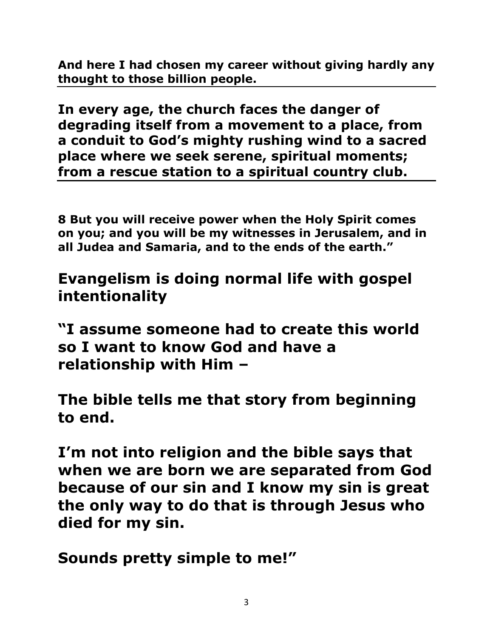**And here I had chosen my career without giving hardly any thought to those billion people.**

**In every age, the church faces the danger of degrading itself from a movement to a place, from a conduit to God's mighty rushing wind to a sacred place where we seek serene, spiritual moments; from a rescue station to a spiritual country club.**

**8 But you will receive power when the Holy Spirit comes on you; and you will be my witnesses in Jerusalem, and in all Judea and Samaria, and to the ends of the earth."** 

**Evangelism is doing normal life with gospel intentionality**

**"I assume someone had to create this world so I want to know God and have a relationship with Him –**

**The bible tells me that story from beginning to end.**

**I'm not into religion and the bible says that when we are born we are separated from God because of our sin and I know my sin is great the only way to do that is through Jesus who died for my sin.**

**Sounds pretty simple to me!"**